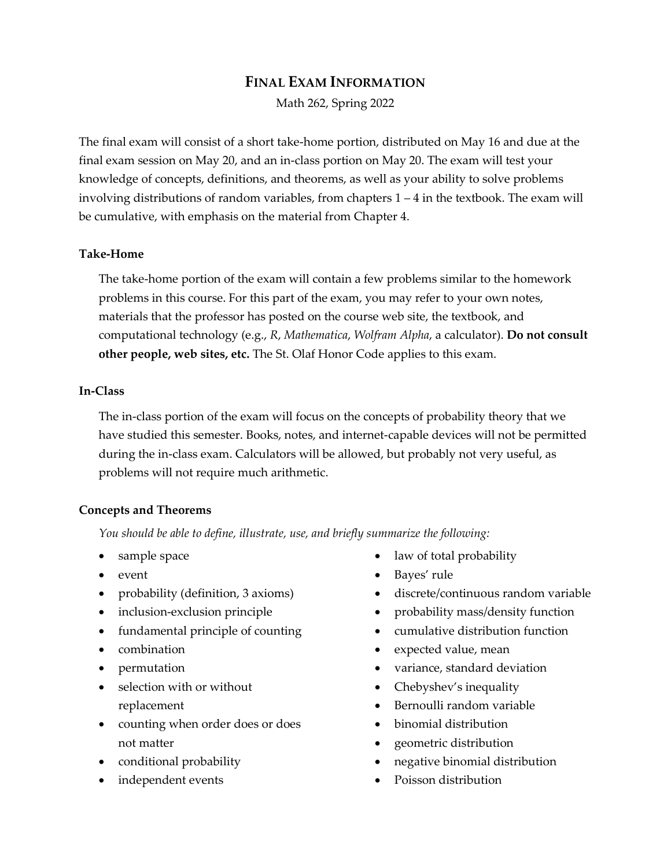# **FINAL EXAM INFORMATION**

Math 262, Spring 2022

The final exam will consist of a short take-home portion, distributed on May 16 and due at the final exam session on May 20, and an in-class portion on May 20. The exam will test your knowledge of concepts, definitions, and theorems, as well as your ability to solve problems involving distributions of random variables, from chapters 1 – 4 in the textbook. The exam will be cumulative, with emphasis on the material from Chapter 4.

# **Take-Home**

The take-home portion of the exam will contain a few problems similar to the homework problems in this course. For this part of the exam, you may refer to your own notes, materials that the professor has posted on the course web site, the textbook, and computational technology (e.g., *R*, *Mathematica*, *Wolfram Alpha*, a calculator). **Do not consult other people, web sites, etc.** The St. Olaf Honor Code applies to this exam.

### **In-Class**

The in-class portion of the exam will focus on the concepts of probability theory that we have studied this semester. Books, notes, and internet-capable devices will not be permitted during the in-class exam. Calculators will be allowed, but probably not very useful, as problems will not require much arithmetic.

# **Concepts and Theorems**

*You should be able to define, illustrate, use, and briefly summarize the following:*

- sample space
- event
- probability (definition, 3 axioms)
- inclusion-exclusion principle
- fundamental principle of counting
- combination
- permutation
- selection with or without replacement
- counting when order does or does not matter
- conditional probability
- independent events
- law of total probability
- Bayes' rule
- discrete/continuous random variable
- probability mass/density function
- cumulative distribution function
- expected value, mean
- variance, standard deviation
- Chebyshev's inequality
- Bernoulli random variable
- binomial distribution
- geometric distribution
- negative binomial distribution
- Poisson distribution